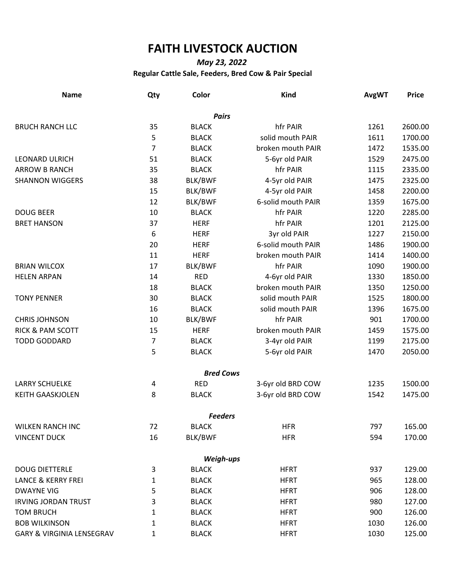## **FAITH LIVESTOCK AUCTION**

## *May 23, 2022* **Regular Cattle Sale, Feeders, Bred Cow & Pair Special**

| <b>Name</b>                          | Qty            | Color            | <b>Kind</b>        | <b>AvgWT</b> | <b>Price</b> |
|--------------------------------------|----------------|------------------|--------------------|--------------|--------------|
|                                      |                | <b>Pairs</b>     |                    |              |              |
| <b>BRUCH RANCH LLC</b>               | 35             | <b>BLACK</b>     | hfr PAIR           | 1261         | 2600.00      |
|                                      | 5              | <b>BLACK</b>     | solid mouth PAIR   | 1611         | 1700.00      |
|                                      | $\overline{7}$ | <b>BLACK</b>     | broken mouth PAIR  | 1472         | 1535.00      |
| <b>LEONARD ULRICH</b>                | 51             | <b>BLACK</b>     | 5-6yr old PAIR     | 1529         | 2475.00      |
| <b>ARROW B RANCH</b>                 | 35             | <b>BLACK</b>     | hfr PAIR           | 1115         | 2335.00      |
| <b>SHANNON WIGGERS</b>               | 38             | BLK/BWF          | 4-5yr old PAIR     | 1475         | 2325.00      |
|                                      | 15             | BLK/BWF          | 4-5yr old PAIR     | 1458         | 2200.00      |
|                                      | 12             | BLK/BWF          | 6-solid mouth PAIR | 1359         | 1675.00      |
| <b>DOUG BEER</b>                     | 10             | <b>BLACK</b>     | hfr PAIR           | 1220         | 2285.00      |
| <b>BRET HANSON</b>                   | 37             | <b>HERF</b>      | hfr PAIR           | 1201         | 2125.00      |
|                                      | 6              | <b>HERF</b>      | 3yr old PAIR       | 1227         | 2150.00      |
|                                      | 20             | <b>HERF</b>      | 6-solid mouth PAIR | 1486         | 1900.00      |
|                                      | 11             | <b>HERF</b>      | broken mouth PAIR  | 1414         | 1400.00      |
| <b>BRIAN WILCOX</b>                  | 17             | BLK/BWF          | hfr PAIR           | 1090         | 1900.00      |
| <b>HELEN ARPAN</b>                   | 14             | <b>RED</b>       | 4-6yr old PAIR     | 1330         | 1850.00      |
|                                      | 18             | <b>BLACK</b>     | broken mouth PAIR  | 1350         | 1250.00      |
| <b>TONY PENNER</b>                   | 30             | <b>BLACK</b>     | solid mouth PAIR   | 1525         | 1800.00      |
|                                      | 16             | <b>BLACK</b>     | solid mouth PAIR   | 1396         | 1675.00      |
| <b>CHRIS JOHNSON</b>                 | 10             | BLK/BWF          | hfr PAIR           | 901          | 1700.00      |
| <b>RICK &amp; PAM SCOTT</b>          | 15             | <b>HERF</b>      | broken mouth PAIR  | 1459         | 1575.00      |
| <b>TODD GODDARD</b>                  | 7              | <b>BLACK</b>     | 3-4yr old PAIR     | 1199         | 2175.00      |
|                                      | 5              | <b>BLACK</b>     | 5-6yr old PAIR     | 1470         | 2050.00      |
|                                      |                | <b>Bred Cows</b> |                    |              |              |
| <b>LARRY SCHUELKE</b>                | 4              | <b>RED</b>       | 3-6yr old BRD COW  | 1235         | 1500.00      |
| <b>KEITH GAASKJOLEN</b>              | 8              | <b>BLACK</b>     | 3-6yr old BRD COW  | 1542         | 1475.00      |
|                                      |                | <b>Feeders</b>   |                    |              |              |
| <b>WILKEN RANCH INC</b>              | 72             | <b>BLACK</b>     | <b>HFR</b>         | 797          | 165.00       |
| <b>VINCENT DUCK</b>                  | 16             | BLK/BWF          | <b>HFR</b>         | 594          | 170.00       |
|                                      |                | Weigh-ups        |                    |              |              |
| <b>DOUG DIETTERLE</b>                | 3              | <b>BLACK</b>     | <b>HFRT</b>        | 937          | 129.00       |
| <b>LANCE &amp; KERRY FREI</b>        | 1              | <b>BLACK</b>     | <b>HFRT</b>        | 965          | 128.00       |
| <b>DWAYNE VIG</b>                    | 5              | <b>BLACK</b>     | <b>HFRT</b>        | 906          | 128.00       |
| <b>IRVING JORDAN TRUST</b>           | 3              | <b>BLACK</b>     | <b>HFRT</b>        | 980          | 127.00       |
| <b>TOM BRUCH</b>                     | 1              | <b>BLACK</b>     | <b>HFRT</b>        | 900          | 126.00       |
| <b>BOB WILKINSON</b>                 | 1              | <b>BLACK</b>     | <b>HFRT</b>        | 1030         | 126.00       |
| <b>GARY &amp; VIRGINIA LENSEGRAV</b> | 1              | <b>BLACK</b>     | <b>HFRT</b>        | 1030         | 125.00       |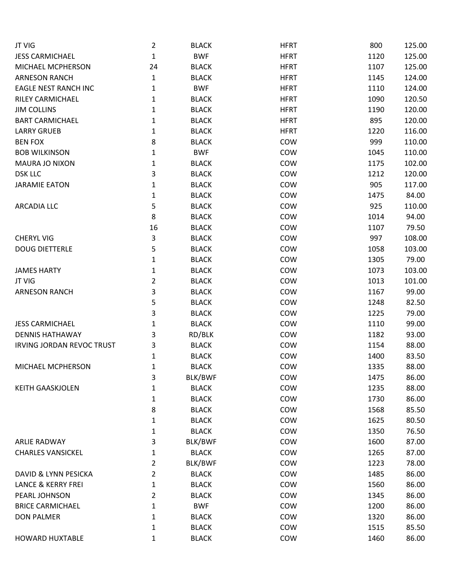| JT VIG                           | $\overline{2}$ | <b>BLACK</b> | <b>HFRT</b> | 800  | 125.00 |
|----------------------------------|----------------|--------------|-------------|------|--------|
| <b>JESS CARMICHAEL</b>           | $\mathbf{1}$   | <b>BWF</b>   | <b>HFRT</b> | 1120 | 125.00 |
| MICHAEL MCPHERSON                | 24             | <b>BLACK</b> | <b>HFRT</b> | 1107 | 125.00 |
| <b>ARNESON RANCH</b>             | $\mathbf{1}$   | <b>BLACK</b> | <b>HFRT</b> | 1145 | 124.00 |
| <b>EAGLE NEST RANCH INC</b>      | 1              | <b>BWF</b>   | <b>HFRT</b> | 1110 | 124.00 |
| RILEY CARMICHAEL                 | 1              | <b>BLACK</b> | <b>HFRT</b> | 1090 | 120.50 |
| <b>JIM COLLINS</b>               | 1              | <b>BLACK</b> | <b>HFRT</b> | 1190 | 120.00 |
| <b>BART CARMICHAEL</b>           | 1              | <b>BLACK</b> | <b>HFRT</b> | 895  | 120.00 |
| <b>LARRY GRUEB</b>               | 1              | <b>BLACK</b> | <b>HFRT</b> | 1220 | 116.00 |
| <b>BEN FOX</b>                   | 8              | <b>BLACK</b> | COW         | 999  | 110.00 |
| <b>BOB WILKINSON</b>             | 1              | <b>BWF</b>   | COW         | 1045 | 110.00 |
| <b>MAURA JO NIXON</b>            | 1              | <b>BLACK</b> | COW         | 1175 | 102.00 |
| <b>DSK LLC</b>                   | 3              | <b>BLACK</b> | COW         | 1212 | 120.00 |
| <b>JARAMIE EATON</b>             | 1              | <b>BLACK</b> | COW         | 905  | 117.00 |
|                                  | 1              | <b>BLACK</b> | COW         | 1475 | 84.00  |
| <b>ARCADIA LLC</b>               | 5              | <b>BLACK</b> | COW         | 925  | 110.00 |
|                                  | 8              | <b>BLACK</b> | COW         | 1014 | 94.00  |
|                                  | 16             | <b>BLACK</b> | COW         | 1107 | 79.50  |
| <b>CHERYL VIG</b>                | 3              | <b>BLACK</b> | COW         | 997  | 108.00 |
| <b>DOUG DIETTERLE</b>            | 5              | <b>BLACK</b> | COW         | 1058 | 103.00 |
|                                  | 1              | <b>BLACK</b> | COW         | 1305 | 79.00  |
| <b>JAMES HARTY</b>               | 1              | <b>BLACK</b> | COW         | 1073 | 103.00 |
| JT VIG                           | $\overline{2}$ | <b>BLACK</b> | COW         | 1013 | 101.00 |
| <b>ARNESON RANCH</b>             | 3              | <b>BLACK</b> | COW         | 1167 | 99.00  |
|                                  | 5              | <b>BLACK</b> | COW         | 1248 | 82.50  |
|                                  | 3              | <b>BLACK</b> | COW         | 1225 | 79.00  |
| <b>JESS CARMICHAEL</b>           | 1              | <b>BLACK</b> | COW         | 1110 | 99.00  |
| <b>DENNIS HATHAWAY</b>           | 3              | RD/BLK       | COW         | 1182 | 93.00  |
| <b>IRVING JORDAN REVOC TRUST</b> | 3              | <b>BLACK</b> | COW         | 1154 | 88.00  |
|                                  | 1              | <b>BLACK</b> | COW         | 1400 | 83.50  |
| MICHAEL MCPHERSON                | 1              | <b>BLACK</b> | COW         | 1335 | 88.00  |
|                                  | 3              | BLK/BWF      | COW         | 1475 | 86.00  |
| <b>KEITH GAASKJOLEN</b>          | $\mathbf{1}$   | <b>BLACK</b> | COW         | 1235 | 88.00  |
|                                  | 1              | <b>BLACK</b> | COW         | 1730 | 86.00  |
|                                  | 8              | <b>BLACK</b> | COW         | 1568 | 85.50  |
|                                  | 1              | <b>BLACK</b> | COW         | 1625 | 80.50  |
|                                  | 1              | <b>BLACK</b> | COW         | 1350 | 76.50  |
| <b>ARLIE RADWAY</b>              | 3              | BLK/BWF      | COW         | 1600 | 87.00  |
| <b>CHARLES VANSICKEL</b>         | 1              | <b>BLACK</b> | COW         | 1265 | 87.00  |
|                                  | $\overline{2}$ | BLK/BWF      | COW         | 1223 | 78.00  |
| DAVID & LYNN PESICKA             | $\overline{2}$ | <b>BLACK</b> | COW         | 1485 | 86.00  |
| <b>LANCE &amp; KERRY FREI</b>    | 1              | <b>BLACK</b> | COW         | 1560 | 86.00  |
| PEARL JOHNSON                    | $\overline{2}$ | <b>BLACK</b> | COW         | 1345 | 86.00  |
| <b>BRICE CARMICHAEL</b>          | 1              | <b>BWF</b>   | COW         | 1200 | 86.00  |
| <b>DON PALMER</b>                | $\mathbf{1}$   | <b>BLACK</b> | COW         | 1320 | 86.00  |
|                                  | 1              | <b>BLACK</b> | COW         | 1515 | 85.50  |
| <b>HOWARD HUXTABLE</b>           | $\mathbf{1}$   | <b>BLACK</b> | COW         | 1460 | 86.00  |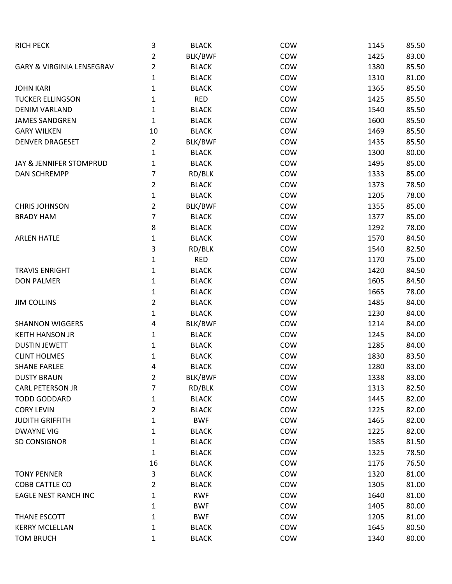| <b>RICH PECK</b>                     | 3              | <b>BLACK</b> | COW | 1145 | 85.50 |
|--------------------------------------|----------------|--------------|-----|------|-------|
|                                      | 2              | BLK/BWF      | COW | 1425 | 83.00 |
| <b>GARY &amp; VIRGINIA LENSEGRAV</b> | 2              | <b>BLACK</b> | COW | 1380 | 85.50 |
|                                      | 1              | <b>BLACK</b> | COW | 1310 | 81.00 |
| <b>JOHN KARI</b>                     | 1              | <b>BLACK</b> | COW | 1365 | 85.50 |
| <b>TUCKER ELLINGSON</b>              | 1              | <b>RED</b>   | COW | 1425 | 85.50 |
| <b>DENIM VARLAND</b>                 | 1              | <b>BLACK</b> | COW | 1540 | 85.50 |
| <b>JAMES SANDGREN</b>                | 1              | <b>BLACK</b> | COW | 1600 | 85.50 |
| <b>GARY WILKEN</b>                   | 10             | <b>BLACK</b> | COW | 1469 | 85.50 |
| <b>DENVER DRAGESET</b>               | 2              | BLK/BWF      | COW | 1435 | 85.50 |
|                                      | 1              | <b>BLACK</b> | COW | 1300 | 80.00 |
| JAY & JENNIFER STOMPRUD              | 1              | <b>BLACK</b> | COW | 1495 | 85.00 |
| <b>DAN SCHREMPP</b>                  | 7              | RD/BLK       | COW | 1333 | 85.00 |
|                                      | $\overline{2}$ | <b>BLACK</b> | COW | 1373 | 78.50 |
|                                      | 1              | <b>BLACK</b> | COW | 1205 | 78.00 |
| <b>CHRIS JOHNSON</b>                 | 2              | BLK/BWF      | COW | 1355 | 85.00 |
| <b>BRADY HAM</b>                     | 7              | <b>BLACK</b> | COW | 1377 | 85.00 |
|                                      | 8              | <b>BLACK</b> | COW | 1292 | 78.00 |
| <b>ARLEN HATLE</b>                   | 1              | <b>BLACK</b> | COW | 1570 | 84.50 |
|                                      | 3              | RD/BLK       | COW | 1540 | 82.50 |
|                                      | 1              | <b>RED</b>   | COW | 1170 | 75.00 |
| <b>TRAVIS ENRIGHT</b>                | 1              | <b>BLACK</b> | COW | 1420 | 84.50 |
| <b>DON PALMER</b>                    | 1              | <b>BLACK</b> | COW | 1605 | 84.50 |
|                                      | 1              | <b>BLACK</b> | COW | 1665 | 78.00 |
| <b>JIM COLLINS</b>                   | $\overline{2}$ | <b>BLACK</b> | COW | 1485 | 84.00 |
|                                      | $\mathbf 1$    | <b>BLACK</b> | COW | 1230 | 84.00 |
| <b>SHANNON WIGGERS</b>               | 4              | BLK/BWF      | COW | 1214 | 84.00 |
| <b>KEITH HANSON JR</b>               | 1              | <b>BLACK</b> | COW | 1245 | 84.00 |
| <b>DUSTIN JEWETT</b>                 | 1              | <b>BLACK</b> | COW | 1285 | 84.00 |
| <b>CLINT HOLMES</b>                  | 1              | <b>BLACK</b> | COW | 1830 | 83.50 |
| <b>SHANE FARLEE</b>                  | 4              | <b>BLACK</b> | COW | 1280 | 83.00 |
| <b>DUSTY BRAUN</b>                   | $\overline{2}$ | BLK/BWF      | COW | 1338 | 83.00 |
| <b>CARL PETERSON JR</b>              | 7              | RD/BLK       | COW | 1313 | 82.50 |
| <b>TODD GODDARD</b>                  | 1              | <b>BLACK</b> | COW | 1445 | 82.00 |
| <b>CORY LEVIN</b>                    | $\overline{2}$ | <b>BLACK</b> | COW | 1225 | 82.00 |
| <b>JUDITH GRIFFITH</b>               | 1              | <b>BWF</b>   | COW | 1465 | 82.00 |
| <b>DWAYNE VIG</b>                    | 1              | <b>BLACK</b> | COW | 1225 | 82.00 |
| SD CONSIGNOR                         | 1              | <b>BLACK</b> | COW | 1585 | 81.50 |
|                                      | $\mathbf{1}$   | <b>BLACK</b> | COW | 1325 | 78.50 |
|                                      | 16             | <b>BLACK</b> | COW | 1176 | 76.50 |
| <b>TONY PENNER</b>                   | 3              | <b>BLACK</b> | COW | 1320 | 81.00 |
| COBB CATTLE CO                       | 2              | <b>BLACK</b> | COW | 1305 | 81.00 |
| <b>EAGLE NEST RANCH INC</b>          | 1              | <b>RWF</b>   | COW | 1640 | 81.00 |
|                                      | 1              | <b>BWF</b>   | COW | 1405 | 80.00 |
| THANE ESCOTT                         | 1              | <b>BWF</b>   | COW | 1205 | 81.00 |
| <b>KERRY MCLELLAN</b>                | 1              | <b>BLACK</b> | COW | 1645 | 80.50 |
| <b>TOM BRUCH</b>                     | 1              | <b>BLACK</b> | COW | 1340 | 80.00 |